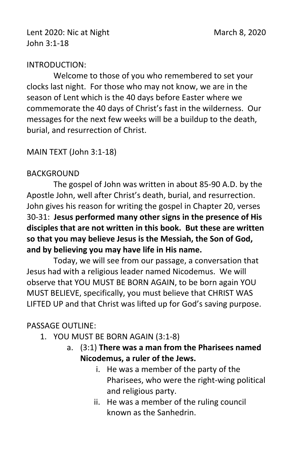## INTRODUCTION:

Welcome to those of you who remembered to set your clocks last night. For those who may not know, we are in the season of Lent which is the 40 days before Easter where we commemorate the 40 days of Christ's fast in the wilderness. Our messages for the next few weeks will be a buildup to the death, burial, and resurrection of Christ.

## MAIN TEXT (John 3:1-18)

## BACKGROUND

The gospel of John was written in about 85-90 A.D. by the Apostle John, well after Christ's death, burial, and resurrection. John gives his reason for writing the gospel in Chapter 20, verses 30-31: **Jesus performed many other signs in the presence of His disciples that are not written in this book. But these are written so that you may believe Jesus is the Messiah, the Son of God, and by believing you may have life in His name.**

Today, we will see from our passage, a conversation that Jesus had with a religious leader named Nicodemus. We will observe that YOU MUST BE BORN AGAIN, to be born again YOU MUST BELIEVE, specifically, you must believe that CHRIST WAS LIFTED UP and that Christ was lifted up for God's saving purpose.

## PASSAGE OUTLINE:

- 1. YOU MUST BE BORN AGAIN (3:1-8)
	- a. (3:1) **There was a man from the Pharisees named Nicodemus, a ruler of the Jews.**
		- i. He was a member of the party of the Pharisees, who were the right-wing political and religious party.
		- ii. He was a member of the ruling council known as the Sanhedrin.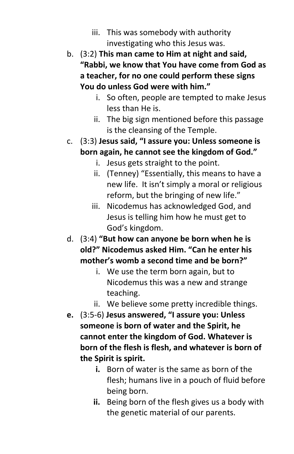- iii. This was somebody with authority investigating who this Jesus was.
- b. (3:2) **This man came to Him at night and said, "Rabbi, we know that You have come from God as a teacher, for no one could perform these signs You do unless God were with him."**
	- i. So often, people are tempted to make Jesus less than He is.
	- ii. The big sign mentioned before this passage is the cleansing of the Temple.
- c. (3:3) **Jesus said, "I assure you: Unless someone is born again, he cannot see the kingdom of God."**
	- i. Jesus gets straight to the point.
	- ii. (Tenney) "Essentially, this means to have a new life. It isn't simply a moral or religious reform, but the bringing of new life."
	- iii. Nicodemus has acknowledged God, and Jesus is telling him how he must get to God's kingdom.
- d. (3:4) **"But how can anyone be born when he is old?" Nicodemus asked Him. "Can he enter his mother's womb a second time and be born?"**
	- i. We use the term born again, but to Nicodemus this was a new and strange teaching.
	- ii. We believe some pretty incredible things.
- **e.** (3:5-6) **Jesus answered, "I assure you: Unless someone is born of water and the Spirit, he cannot enter the kingdom of God. Whatever is born of the flesh is flesh, and whatever is born of the Spirit is spirit.** 
	- **i.** Born of water is the same as born of the flesh; humans live in a pouch of fluid before being born.
	- **ii.** Being born of the flesh gives us a body with the genetic material of our parents.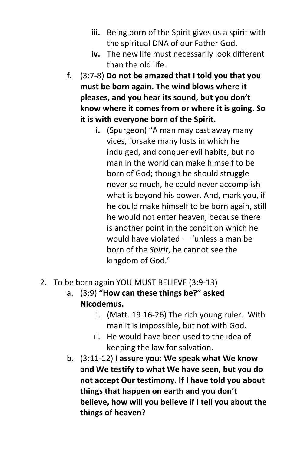- **iii.** Being born of the Spirit gives us a spirit with the spiritual DNA of our Father God.
- **iv.** The new life must necessarily look different than the old life.
- **f.** (3:7-8) **Do not be amazed that I told you that you must be born again. The wind blows where it pleases, and you hear its sound, but you don't know where it comes from or where it is going. So it is with everyone born of the Spirit.**
	- **i.** (Spurgeon) "A man may cast away many vices, forsake many lusts in which he indulged, and conquer evil habits, but no man in the world can make himself to be born of God; though he should struggle never so much, he could never accomplish what is beyond his power. And, mark you, if he could make himself to be born again, still he would not enter heaven, because there is another point in the condition which he would have violated — 'unless a man be born of the *Spirit*, he cannot see the kingdom of God.'
- 2. To be born again YOU MUST BELIEVE (3:9-13)
	- a. (3:9) **"How can these things be?" asked Nicodemus.**
		- i. (Matt. 19:16-26) The rich young ruler. With man it is impossible, but not with God.
		- ii. He would have been used to the idea of keeping the law for salvation.
	- b. (3:11-12) **I assure you: We speak what We know and We testify to what We have seen, but you do not accept Our testimony. If I have told you about things that happen on earth and you don't believe, how will you believe if I tell you about the things of heaven?**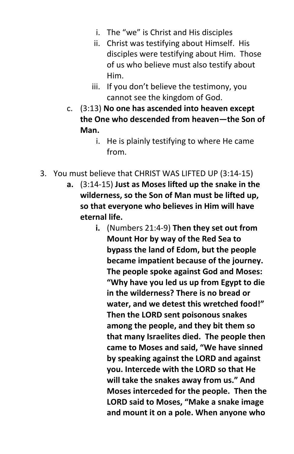- i. The "we" is Christ and His disciples
- ii. Christ was testifying about Himself. His disciples were testifying about Him. Those of us who believe must also testify about Him.
- iii. If you don't believe the testimony, you cannot see the kingdom of God.
- c. (3:13) **No one has ascended into heaven except the One who descended from heaven—the Son of Man.**
	- i. He is plainly testifying to where He came from.
- 3. You must believe that CHRIST WAS LIFTED UP (3:14-15)
	- **a.** (3:14-15) **Just as Moses lifted up the snake in the wilderness, so the Son of Man must be lifted up, so that everyone who believes in Him will have eternal life.**
		- **i.** (Numbers 21:4-9) **Then they set out from Mount Hor by way of the Red Sea to bypass the land of Edom, but the people became impatient because of the journey. The people spoke against God and Moses: "Why have you led us up from Egypt to die in the wilderness? There is no bread or water, and we detest this wretched food!" Then the LORD sent poisonous snakes among the people, and they bit them so that many Israelites died. The people then came to Moses and said, "We have sinned by speaking against the LORD and against you. Intercede with the LORD so that He will take the snakes away from us." And Moses interceded for the people. Then the LORD said to Moses, "Make a snake image and mount it on a pole. When anyone who**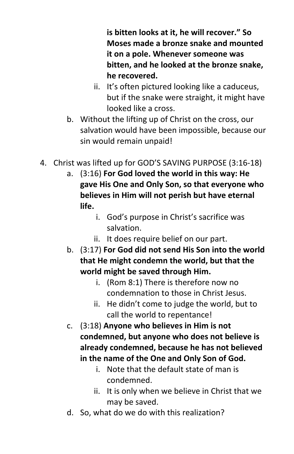**is bitten looks at it, he will recover." So Moses made a bronze snake and mounted it on a pole. Whenever someone was bitten, and he looked at the bronze snake, he recovered.**

- ii. It's often pictured looking like a caduceus, but if the snake were straight, it might have looked like a cross.
- b. Without the lifting up of Christ on the cross, our salvation would have been impossible, because our sin would remain unpaid!
- 4. Christ was lifted up for GOD'S SAVING PURPOSE (3:16-18)
	- a. (3:16) **For God loved the world in this way: He gave His One and Only Son, so that everyone who believes in Him will not perish but have eternal life.**
		- i. God's purpose in Christ's sacrifice was salvation.
		- ii. It does require belief on our part.
	- b. (3:17) **For God did not send His Son into the world that He might condemn the world, but that the world might be saved through Him.**
		- i. (Rom 8:1) There is therefore now no condemnation to those in Christ Jesus.
		- ii. He didn't come to judge the world, but to call the world to repentance!
	- c. (3:18) **Anyone who believes in Him is not condemned, but anyone who does not believe is already condemned, because he has not believed in the name of the One and Only Son of God.**
		- i. Note that the default state of man is condemned.
		- ii. It is only when we believe in Christ that we may be saved.
	- d. So, what do we do with this realization?